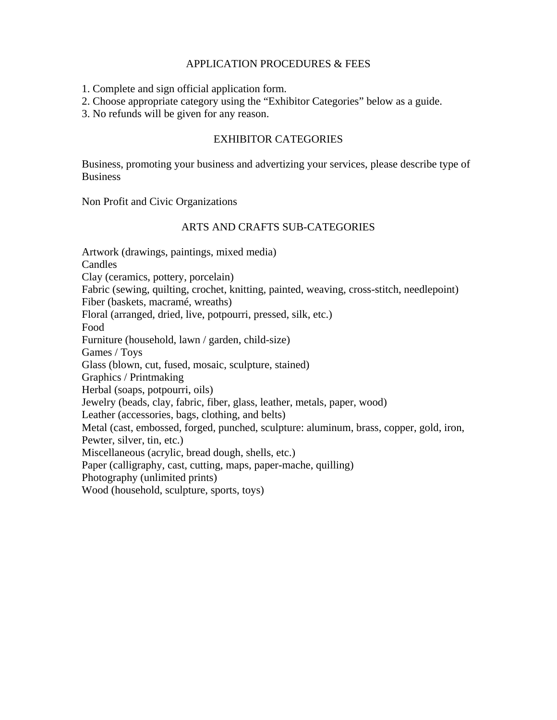### APPLICATION PROCEDURES & FEES

1. Complete and sign official application form.

2. Choose appropriate category using the "Exhibitor Categories" below as a guide.

3. No refunds will be given for any reason.

### EXHIBITOR CATEGORIES

Business, promoting your business and advertizing your services, please describe type of **Business** 

Non Profit and Civic Organizations

## ARTS AND CRAFTS SUB-CATEGORIES

Artwork (drawings, paintings, mixed media) Candles Clay (ceramics, pottery, porcelain) Fabric (sewing, quilting, crochet, knitting, painted, weaving, cross-stitch, needlepoint) Fiber (baskets, macramé, wreaths) Floral (arranged, dried, live, potpourri, pressed, silk, etc.) Food Furniture (household, lawn / garden, child-size) Games / Toys Glass (blown, cut, fused, mosaic, sculpture, stained) Graphics / Printmaking Herbal (soaps, potpourri, oils) Jewelry (beads, clay, fabric, fiber, glass, leather, metals, paper, wood) Leather (accessories, bags, clothing, and belts) Metal (cast, embossed, forged, punched, sculpture: aluminum, brass, copper, gold, iron, Pewter, silver, tin, etc.) Miscellaneous (acrylic, bread dough, shells, etc.) Paper (calligraphy, cast, cutting, maps, paper-mache, quilling) Photography (unlimited prints) Wood (household, sculpture, sports, toys)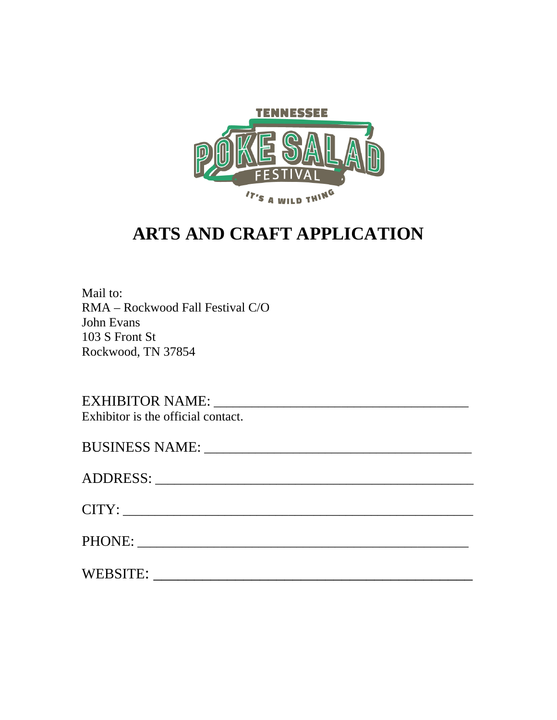

# **ARTS AND CRAFT APPLICATION**

Mail to: RMA – Rockwood Fall Festival C/O John Evans 103 S Front St Rockwood, TN 37854

EXHIBITOR NAME: \_\_\_\_\_\_\_\_\_\_\_\_\_\_\_\_\_\_\_\_\_\_\_\_\_\_\_\_\_\_\_\_\_\_\_\_\_\_\_\_ Exhibitor is the official contact.

| PHONE: New York Street and Street and Street and Street and Street and Street and Street and Street and Street |
|----------------------------------------------------------------------------------------------------------------|
| WEBSITE:                                                                                                       |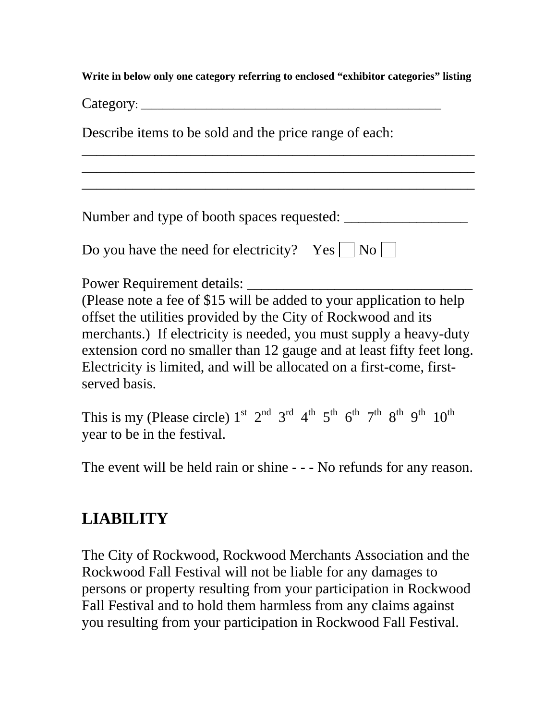**Write in below only one category referring to enclosed "exhibitor categories" listing** 

\_\_\_\_\_\_\_\_\_\_\_\_\_\_\_\_\_\_\_\_\_\_\_\_\_\_\_\_\_\_\_\_\_\_\_\_\_\_\_\_\_\_\_\_\_\_\_\_\_\_\_\_\_\_ \_\_\_\_\_\_\_\_\_\_\_\_\_\_\_\_\_\_\_\_\_\_\_\_\_\_\_\_\_\_\_\_\_\_\_\_\_\_\_\_\_\_\_\_\_\_\_\_\_\_\_\_\_\_ \_\_\_\_\_\_\_\_\_\_\_\_\_\_\_\_\_\_\_\_\_\_\_\_\_\_\_\_\_\_\_\_\_\_\_\_\_\_\_\_\_\_\_\_\_\_\_\_\_\_\_\_\_\_

 $\text{Category:}\n$ 

Describe items to be sold and the price range of each:

Number and type of booth spaces requested: \_\_\_\_\_\_\_\_\_\_\_\_\_\_\_\_\_

| Do you have the need for electricity? Yes $\Box$ No $\Box$ |  |  |  |
|------------------------------------------------------------|--|--|--|
|------------------------------------------------------------|--|--|--|

Power Requirement details:

(Please note a fee of \$15 will be added to your application to help offset the utilities provided by the City of Rockwood and its merchants.) If electricity is needed, you must supply a heavy-duty extension cord no smaller than 12 gauge and at least fifty feet long. Electricity is limited, and will be allocated on a first-come, firstserved basis.

This is my (Please circle)  $1^{st}$   $2^{nd}$   $3^{rd}$   $4^{th}$   $5^{th}$   $6^{th}$   $7^{th}$   $8^{th}$   $9^{th}$   $10^{th}$ year to be in the festival.

The event will be held rain or shine - - - No refunds for any reason.

# **LIABILITY**

The City of Rockwood, Rockwood Merchants Association and the Rockwood Fall Festival will not be liable for any damages to persons or property resulting from your participation in Rockwood Fall Festival and to hold them harmless from any claims against you resulting from your participation in Rockwood Fall Festival.